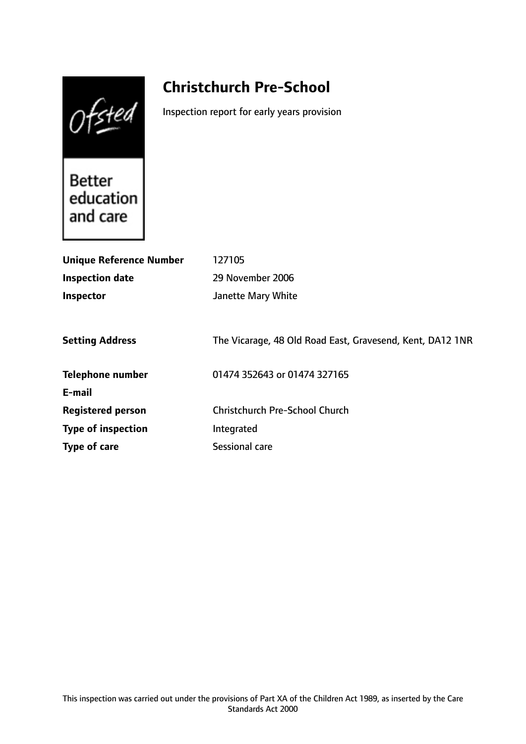Ofsted

# **Christchurch Pre-School**

Inspection report for early years provision

Better education and care

| <b>Unique Reference Number</b> | 127105                                                    |
|--------------------------------|-----------------------------------------------------------|
| <b>Inspection date</b>         | 29 November 2006                                          |
| Inspector                      | Janette Mary White                                        |
|                                |                                                           |
| <b>Setting Address</b>         | The Vicarage, 48 Old Road East, Gravesend, Kent, DA12 1NR |
| <b>Telephone number</b>        | 01474 352643 or 01474 327165                              |
| E-mail                         |                                                           |
| <b>Registered person</b>       | <b>Christchurch Pre-School Church</b>                     |
| <b>Type of inspection</b>      | Integrated                                                |
| Type of care                   | Sessional care                                            |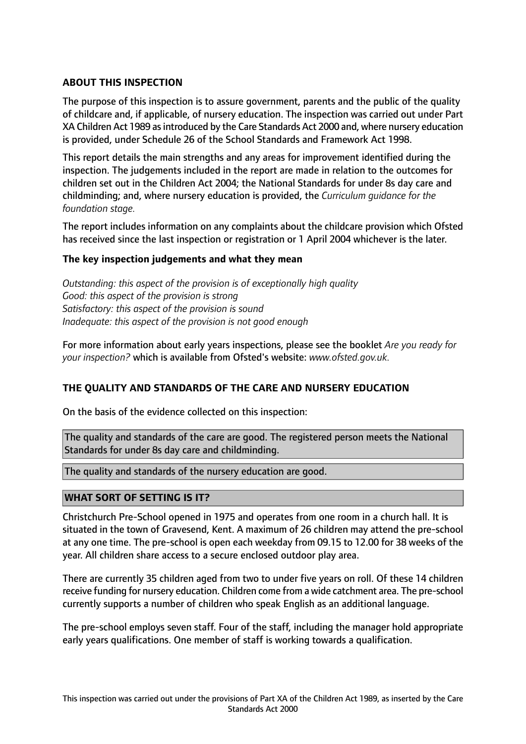## **ABOUT THIS INSPECTION**

The purpose of this inspection is to assure government, parents and the public of the quality of childcare and, if applicable, of nursery education. The inspection was carried out under Part XA Children Act 1989 asintroduced by the Care Standards Act 2000 and, where nursery education is provided, under Schedule 26 of the School Standards and Framework Act 1998.

This report details the main strengths and any areas for improvement identified during the inspection. The judgements included in the report are made in relation to the outcomes for children set out in the Children Act 2004; the National Standards for under 8s day care and childminding; and, where nursery education is provided, the *Curriculum guidance for the foundation stage.*

The report includes information on any complaints about the childcare provision which Ofsted has received since the last inspection or registration or 1 April 2004 whichever is the later.

#### **The key inspection judgements and what they mean**

*Outstanding: this aspect of the provision is of exceptionally high quality Good: this aspect of the provision is strong Satisfactory: this aspect of the provision is sound Inadequate: this aspect of the provision is not good enough*

For more information about early years inspections, please see the booklet *Are you ready for your inspection?* which is available from Ofsted's website: *www.ofsted.gov.uk.*

#### **THE QUALITY AND STANDARDS OF THE CARE AND NURSERY EDUCATION**

On the basis of the evidence collected on this inspection:

The quality and standards of the care are good. The registered person meets the National Standards for under 8s day care and childminding.

The quality and standards of the nursery education are good.

#### **WHAT SORT OF SETTING IS IT?**

Christchurch Pre-School opened in 1975 and operates from one room in a church hall. It is situated in the town of Gravesend, Kent. A maximum of 26 children may attend the pre-school at any one time. The pre-school is open each weekday from 09.15 to 12.00 for 38 weeks of the year. All children share access to a secure enclosed outdoor play area.

There are currently 35 children aged from two to under five years on roll. Of these 14 children receive funding for nursery education. Children come from a wide catchment area. The pre-school currently supports a number of children who speak English as an additional language.

The pre-school employs seven staff. Four of the staff, including the manager hold appropriate early years qualifications. One member of staff is working towards a qualification.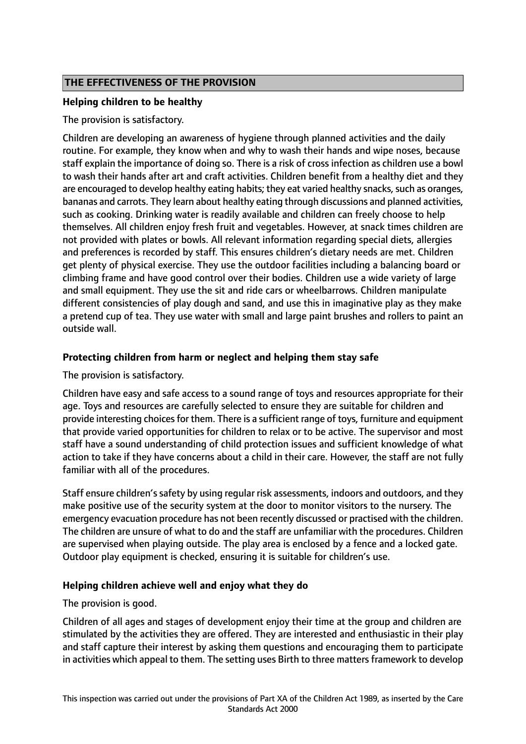## **THE EFFECTIVENESS OF THE PROVISION**

#### **Helping children to be healthy**

The provision is satisfactory.

Children are developing an awareness of hygiene through planned activities and the daily routine. For example, they know when and why to wash their hands and wipe noses, because staff explain the importance of doing so. There is a risk of cross infection as children use a bowl to wash their hands after art and craft activities. Children benefit from a healthy diet and they are encouraged to develop healthy eating habits; they eat varied healthy snacks, such as oranges, bananas and carrots. They learn about healthy eating through discussions and planned activities, such as cooking. Drinking water is readily available and children can freely choose to help themselves. All children enjoy fresh fruit and vegetables. However, at snack times children are not provided with plates or bowls. All relevant information regarding special diets, allergies and preferences is recorded by staff. This ensures children's dietary needs are met. Children get plenty of physical exercise. They use the outdoor facilities including a balancing board or climbing frame and have good control over their bodies. Children use a wide variety of large and small equipment. They use the sit and ride cars or wheelbarrows. Children manipulate different consistencies of play dough and sand, and use this in imaginative play as they make a pretend cup of tea. They use water with small and large paint brushes and rollers to paint an outside wall.

## **Protecting children from harm or neglect and helping them stay safe**

The provision is satisfactory.

Children have easy and safe access to a sound range of toys and resources appropriate for their age. Toys and resources are carefully selected to ensure they are suitable for children and provide interesting choicesfor them. There is a sufficient range of toys, furniture and equipment that provide varied opportunities for children to relax or to be active. The supervisor and most staff have a sound understanding of child protection issues and sufficient knowledge of what action to take if they have concerns about a child in their care. However, the staff are not fully familiar with all of the procedures.

Staff ensure children's safety by using regular risk assessments, indoors and outdoors, and they make positive use of the security system at the door to monitor visitors to the nursery. The emergency evacuation procedure has not been recently discussed or practised with the children. The children are unsure of what to do and the staff are unfamiliar with the procedures. Children are supervised when playing outside. The play area is enclosed by a fence and a locked gate. Outdoor play equipment is checked, ensuring it is suitable for children's use.

#### **Helping children achieve well and enjoy what they do**

#### The provision is good.

Children of all ages and stages of development enjoy their time at the group and children are stimulated by the activities they are offered. They are interested and enthusiastic in their play and staff capture their interest by asking them questions and encouraging them to participate in activities which appeal to them. The setting uses Birth to three matters framework to develop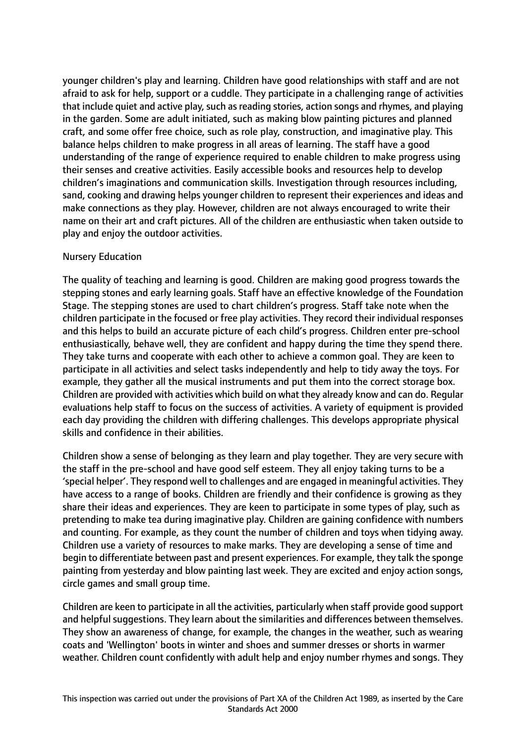younger children's play and learning. Children have good relationships with staff and are not afraid to ask for help, support or a cuddle. They participate in a challenging range of activities that include quiet and active play, such as reading stories, action songs and rhymes, and playing in the garden. Some are adult initiated, such as making blow painting pictures and planned craft, and some offer free choice, such as role play, construction, and imaginative play. This balance helps children to make progress in all areas of learning. The staff have a good understanding of the range of experience required to enable children to make progress using their senses and creative activities. Easily accessible books and resources help to develop children's imaginations and communication skills. Investigation through resources including, sand, cooking and drawing helps younger children to represent their experiences and ideas and make connections as they play. However, children are not always encouraged to write their name on their art and craft pictures. All of the children are enthusiastic when taken outside to play and enjoy the outdoor activities.

#### Nursery Education

The quality of teaching and learning is good. Children are making good progress towards the stepping stones and early learning goals. Staff have an effective knowledge of the Foundation Stage. The stepping stones are used to chart children's progress. Staff take note when the children participate in the focused or free play activities. They record their individual responses and this helps to build an accurate picture of each child's progress. Children enter pre-school enthusiastically, behave well, they are confident and happy during the time they spend there. They take turns and cooperate with each other to achieve a common goal. They are keen to participate in all activities and select tasks independently and help to tidy away the toys. For example, they gather all the musical instruments and put them into the correct storage box. Children are provided with activities which build on what they already know and can do. Regular evaluations help staff to focus on the success of activities. A variety of equipment is provided each day providing the children with differing challenges. This develops appropriate physical skills and confidence in their abilities.

Children show a sense of belonging as they learn and play together. They are very secure with the staff in the pre-school and have good self esteem. They all enjoy taking turns to be a 'special helper'. They respond well to challenges and are engaged in meaningful activities. They have access to a range of books. Children are friendly and their confidence is growing as they share their ideas and experiences. They are keen to participate in some types of play, such as pretending to make tea during imaginative play. Children are gaining confidence with numbers and counting. For example, as they count the number of children and toys when tidying away. Children use a variety of resources to make marks. They are developing a sense of time and begin to differentiate between past and present experiences. For example, they talk the sponge painting from yesterday and blow painting last week. They are excited and enjoy action songs, circle games and small group time.

Children are keen to participate in all the activities, particularly when staff provide good support and helpful suggestions. They learn about the similarities and differences between themselves. They show an awareness of change, for example, the changes in the weather, such as wearing coats and 'Wellington' boots in winter and shoes and summer dresses or shorts in warmer weather. Children count confidently with adult help and enjoy number rhymes and songs. They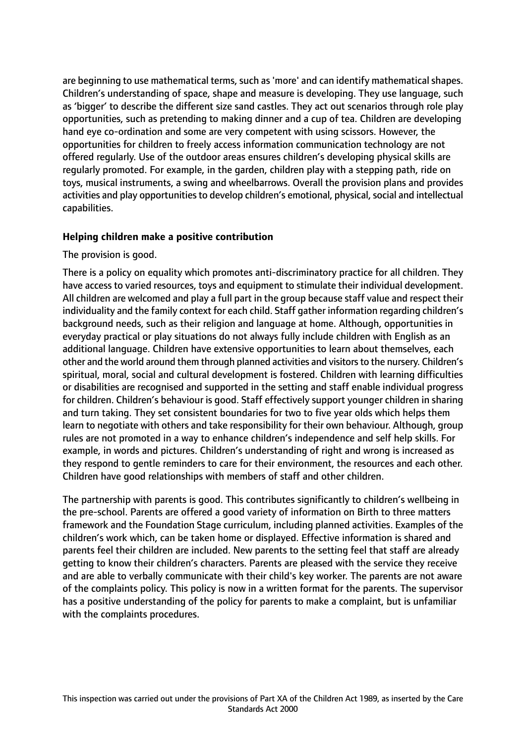are beginning to use mathematical terms, such as 'more' and can identify mathematical shapes. Children's understanding of space, shape and measure is developing. They use language, such as 'bigger' to describe the different size sand castles. They act out scenarios through role play opportunities, such as pretending to making dinner and a cup of tea. Children are developing hand eye co-ordination and some are very competent with using scissors. However, the opportunities for children to freely access information communication technology are not offered regularly. Use of the outdoor areas ensures children's developing physical skills are regularly promoted. For example, in the garden, children play with a stepping path, ride on toys, musical instruments, a swing and wheelbarrows. Overall the provision plans and provides activities and play opportunities to develop children's emotional, physical, social and intellectual capabilities.

#### **Helping children make a positive contribution**

#### The provision is good.

There is a policy on equality which promotes anti-discriminatory practice for all children. They have access to varied resources, toys and equipment to stimulate their individual development. All children are welcomed and play a full part in the group because staff value and respect their individuality and the family context for each child. Staff gather information regarding children's background needs, such as their religion and language at home. Although, opportunities in everyday practical or play situations do not always fully include children with English as an additional language. Children have extensive opportunities to learn about themselves, each other and the world around them through planned activities and visitors to the nursery. Children's spiritual, moral, social and cultural development is fostered. Children with learning difficulties or disabilities are recognised and supported in the setting and staff enable individual progress for children. Children's behaviour is good. Staff effectively support younger children in sharing and turn taking. They set consistent boundaries for two to five year olds which helps them learn to negotiate with others and take responsibility for their own behaviour. Although, group rules are not promoted in a way to enhance children's independence and self help skills. For example, in words and pictures. Children's understanding of right and wrong is increased as they respond to gentle reminders to care for their environment, the resources and each other. Children have good relationships with members of staff and other children.

The partnership with parents is good. This contributes significantly to children's wellbeing in the pre-school. Parents are offered a good variety of information on Birth to three matters framework and the Foundation Stage curriculum, including planned activities. Examples of the children's work which, can be taken home or displayed. Effective information is shared and parents feel their children are included. New parents to the setting feel that staff are already getting to know their children's characters. Parents are pleased with the service they receive and are able to verbally communicate with their child's key worker. The parents are not aware of the complaints policy. This policy is now in a written format for the parents. The supervisor has a positive understanding of the policy for parents to make a complaint, but is unfamiliar with the complaints procedures.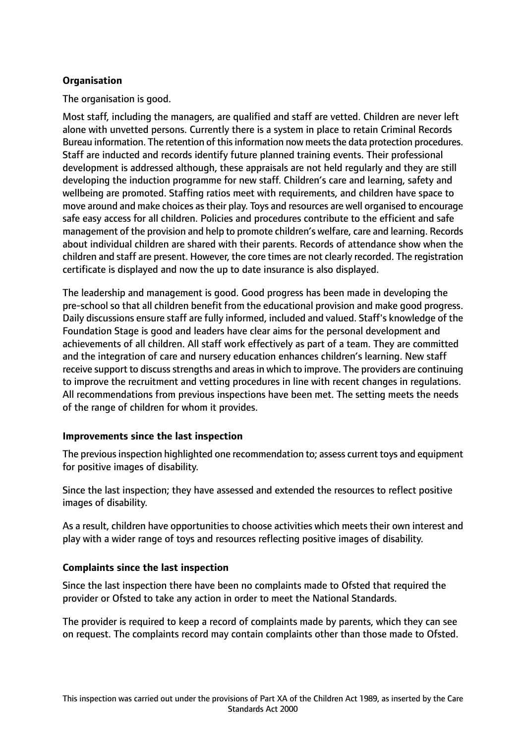# **Organisation**

The organisation is good.

Most staff, including the managers, are qualified and staff are vetted. Children are never left alone with unvetted persons. Currently there is a system in place to retain Criminal Records Bureau information. The retention of this information now meets the data protection procedures. Staff are inducted and records identify future planned training events. Their professional development is addressed although, these appraisals are not held regularly and they are still developing the induction programme for new staff. Children's care and learning, safety and wellbeing are promoted. Staffing ratios meet with requirements, and children have space to move around and make choices astheir play. Toys and resources are well organised to encourage safe easy access for all children. Policies and procedures contribute to the efficient and safe management of the provision and help to promote children's welfare, care and learning. Records about individual children are shared with their parents. Records of attendance show when the children and staff are present. However, the core times are not clearly recorded. The registration certificate is displayed and now the up to date insurance is also displayed.

The leadership and management is good. Good progress has been made in developing the pre-school so that all children benefit from the educational provision and make good progress. Daily discussions ensure staff are fully informed, included and valued. Staff's knowledge of the Foundation Stage is good and leaders have clear aims for the personal development and achievements of all children. All staff work effectively as part of a team. They are committed and the integration of care and nursery education enhances children's learning. New staff receive support to discuss strengths and areas in which to improve. The providers are continuing to improve the recruitment and vetting procedures in line with recent changes in regulations. All recommendations from previous inspections have been met. The setting meets the needs of the range of children for whom it provides.

#### **Improvements since the last inspection**

The previous inspection highlighted one recommendation to; assess current toys and equipment for positive images of disability.

Since the last inspection; they have assessed and extended the resources to reflect positive images of disability.

As a result, children have opportunities to choose activities which meets their own interest and play with a wider range of toys and resources reflecting positive images of disability.

#### **Complaints since the last inspection**

Since the last inspection there have been no complaints made to Ofsted that required the provider or Ofsted to take any action in order to meet the National Standards.

The provider is required to keep a record of complaints made by parents, which they can see on request. The complaints record may contain complaints other than those made to Ofsted.